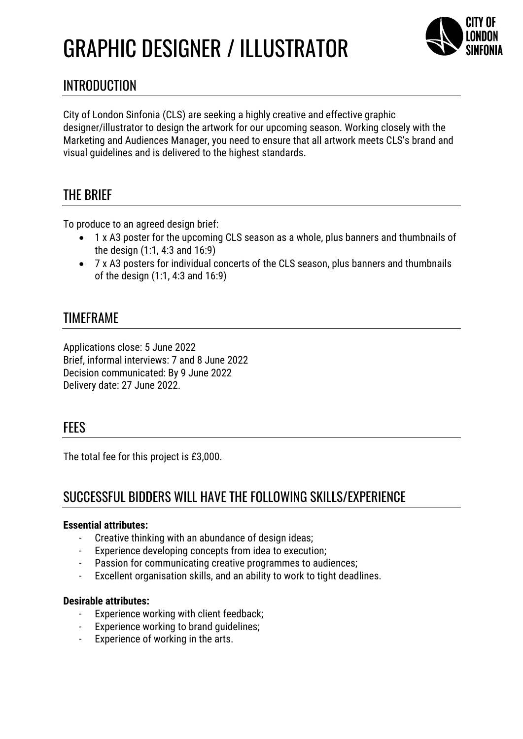# GRAPHIC DESIGNER / ILLUSTRATOR



## INTRODUCTION

City of London Sinfonia (CLS) are seeking a highly creative and effective graphic designer/illustrator to design the artwork for our upcoming season. Working closely with the Marketing and Audiences Manager, you need to ensure that all artwork meets CLS's brand and visual guidelines and is delivered to the highest standards.

## THE BRIEF

To produce to an agreed design brief:

- 1 x A3 poster for the upcoming CLS season as a whole, plus banners and thumbnails of the design (1:1, 4:3 and 16:9)
- 7 x A3 posters for individual concerts of the CLS season, plus banners and thumbnails of the design (1:1, 4:3 and 16:9)

#### TIMEFRAME

Applications close: 5 June 2022 Brief, informal interviews: 7 and 8 June 2022 Decision communicated: By 9 June 2022 Delivery date: 27 June 2022.

#### **FFFS**

The total fee for this project is £3,000.

## SUCCESSFUL BIDDERS WILL HAVE THE FOLLOWING SKILLS/EXPERIENCE

#### **Essential attributes:**

- Creative thinking with an abundance of design ideas;
- Experience developing concepts from idea to execution;
- Passion for communicating creative programmes to audiences;
- Excellent organisation skills, and an ability to work to tight deadlines.

#### **Desirable attributes:**

- Experience working with client feedback;
- Experience working to brand guidelines;
- Experience of working in the arts.